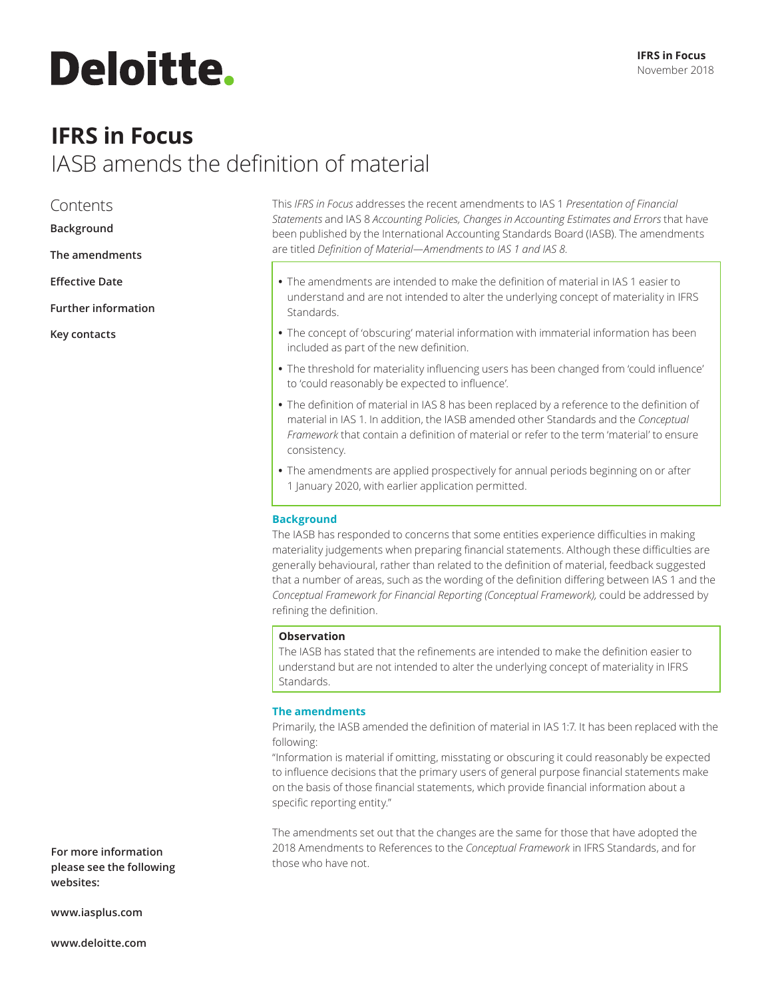# **Deloitte.**

### **IFRS in Focus** IASB amends the definition of material

#### Contents

<span id="page-0-0"></span>**[Background](#page-0-0)**

- **[The amendments](#page-0-1)**
- **[Effective Date](#page-1-0)**
- **[Further information](#page-1-1)**

**[Key contacts](#page-2-0)**

This *IFRS in Focus* addresses the recent amendments to IAS 1 *Presentation of Financial Statements* and IAS 8 *Accounting Policies, Changes in Accounting Estimates and Errors* that have been published by the International Accounting Standards Board (IASB). The amendments are titled *Definition of Material—Amendments to IAS 1 and IAS 8.*

- **•** The amendments are intended to make the definition of material in IAS 1 easier to understand and are not intended to alter the underlying concept of materiality in IFRS Standards.
- **•** The concept of 'obscuring' material information with immaterial information has been included as part of the new definition.
- **•** The threshold for materiality influencing users has been changed from 'could influence' to 'could reasonably be expected to influence'.
- **•** The definition of material in IAS 8 has been replaced by a reference to the definition of material in IAS 1. In addition, the IASB amended other Standards and the *Conceptual Framework* that contain a definition of material or refer to the term 'material' to ensure consistency.
- **•** The amendments are applied prospectively for annual periods beginning on or after 1 January 2020, with earlier application permitted.

#### **Background**

The IASB has responded to concerns that some entities experience difficulties in making materiality judgements when preparing financial statements. Although these difficulties are generally behavioural, rather than related to the definition of material, feedback suggested that a number of areas, such as the wording of the definition differing between IAS 1 and the *Conceptual Framework for Financial Reporting (Conceptual Framework),* could be addressed by refining the definition.

#### **Observation**

The IASB has stated that the refinements are intended to make the definition easier to understand but are not intended to alter the underlying concept of materiality in IFRS Standards.

#### <span id="page-0-1"></span>**The amendments**

Primarily, the IASB amended the definition of material in IAS 1:7. It has been replaced with the following:

"Information is material if omitting, misstating or obscuring it could reasonably be expected to influence decisions that the primary users of general purpose financial statements make on the basis of those financial statements, which provide financial information about a specific reporting entity."

The amendments set out that the changes are the same for those that have adopted the 2018 Amendments to References to the *Conceptual Framework* in IFRS Standards, and for those who have not.

**For more information please see the following websites:**

**www.iasplus.com**

**www.deloitte.com**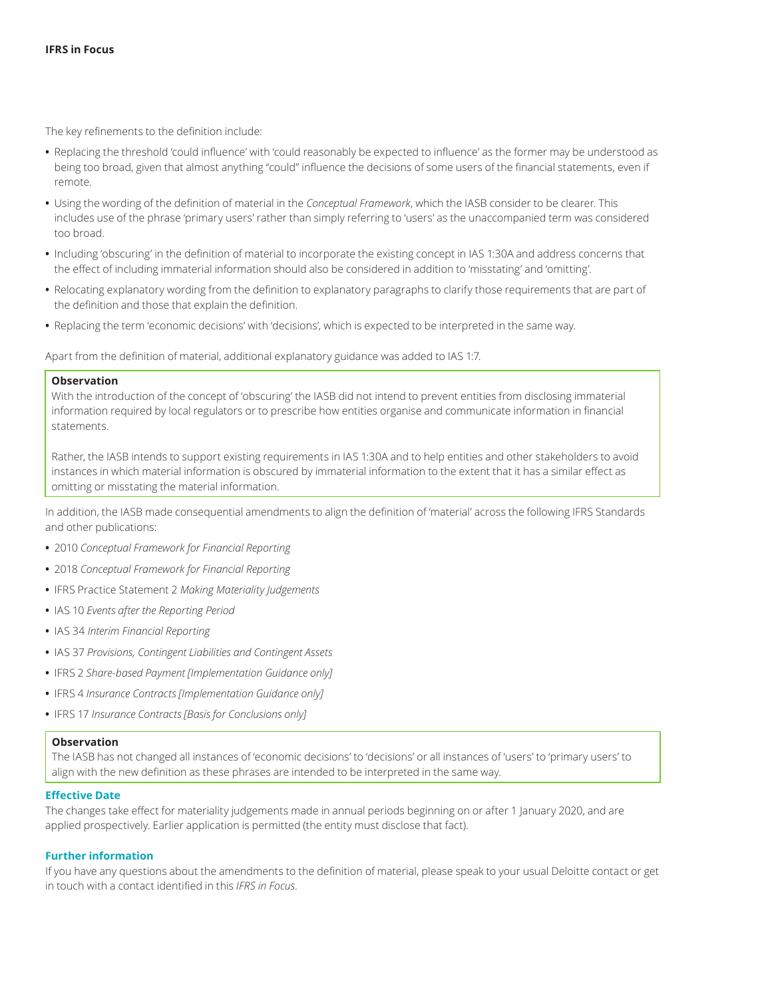The key refinements to the definition include:

- **•** Replacing the threshold 'could influence' with 'could reasonably be expected to influence' as the former may be understood as being too broad, given that almost anything "could" influence the decisions of some users of the financial statements, even if remote.
- **•** Using the wording of the definition of material in the *Conceptual Framework*, which the IASB consider to be clearer. This includes use of the phrase 'primary users' rather than simply referring to 'users' as the unaccompanied term was considered too broad.
- **•** Including 'obscuring' in the definition of material to incorporate the existing concept in IAS 1:30A and address concerns that the effect of including immaterial information should also be considered in addition to 'misstating' and 'omitting'.
- **•** Relocating explanatory wording from the definition to explanatory paragraphs to clarify those requirements that are part of the definition and those that explain the definition.
- **•** Replacing the term 'economic decisions' with 'decisions', which is expected to be interpreted in the same way.

Apart from the definition of material, additional explanatory guidance was added to IAS 1:7.

#### **Observation**

With the introduction of the concept of 'obscuring' the IASB did not intend to prevent entities from disclosing immaterial information required by local regulators or to prescribe how entities organise and communicate information in financial statements.

Rather, the IASB intends to support existing requirements in IAS 1:30A and to help entities and other stakeholders to avoid instances in which material information is obscured by immaterial information to the extent that it has a similar effect as omitting or misstating the material information.

In addition, the IASB made consequential amendments to align the definition of 'material' across the following IFRS Standards and other publications:

- **•** 2010 *Conceptual Framework for Financial Reporting*
- **•** 2018 *Conceptual Framework for Financial Reporting*
- **•** IFRS Practice Statement 2 *Making Materiality Judgements*
- **•** IAS 10 *Events after the Reporting Period*
- **•** IAS 34 *Interim Financial Reporting*
- **•** IAS 37 *Provisions, Contingent Liabilities and Contingent Assets*
- **•** IFRS 2 *Share-based Payment [Implementation Guidance only]*
- **•** IFRS 4 *Insurance Contracts [Implementation Guidance only]*
- **•** IFRS 17 *Insurance Contracts [Basis for Conclusions only]*

#### **Observation**

The IASB has not changed all instances of 'economic decisions' to 'decisions' or all instances of 'users' to 'primary users' to align with the new definition as these phrases are intended to be interpreted in the same way.

#### <span id="page-1-0"></span>**Effective Date**

The changes take effect for materiality judgements made in annual periods beginning on or after 1 January 2020, and are applied prospectively. Earlier application is permitted (the entity must disclose that fact).

#### <span id="page-1-1"></span>**Further information**

If you have any questions about the amendments to the definition of material, please speak to your usual Deloitte contact or get in touch with a contact identified in this *IFRS in Focus*.